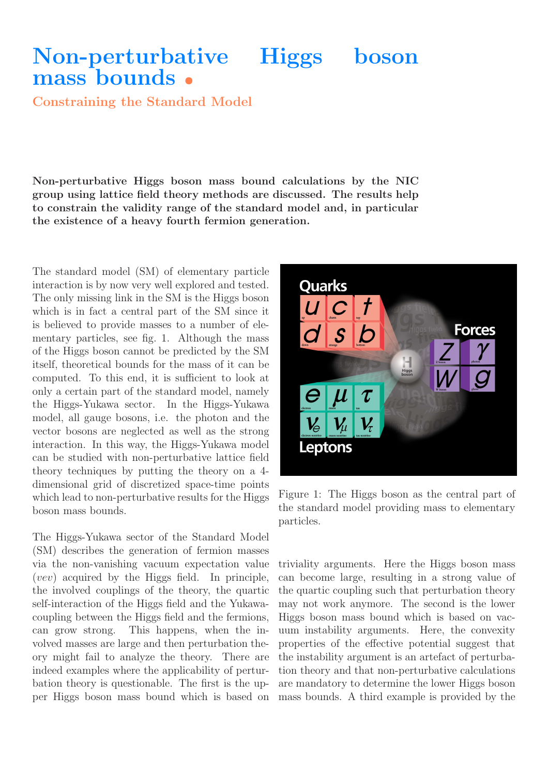## Non-perturbative Higgs boson mass bounds •

Constraining the Standard Model

Non-perturbative Higgs boson mass bound calculations by the NIC group using lattice field theory methods are discussed. The results help to constrain the validity range of the standard model and, in particular the existence of a heavy fourth fermion generation.

The standard model (SM) of elementary particle interaction is by now very well explored and tested. The only missing link in the SM is the Higgs boson which is in fact a central part of the SM since it is believed to provide masses to a number of elementary particles, see fig. 1. Although the mass of the Higgs boson cannot be predicted by the SM itself, theoretical bounds for the mass of it can be computed. To this end, it is sufficient to look at only a certain part of the standard model, namely the Higgs-Yukawa sector. In the Higgs-Yukawa model, all gauge bosons, i.e. the photon and the vector bosons are neglected as well as the strong interaction. In this way, the Higgs-Yukawa model can be studied with non-perturbative lattice field theory techniques by putting the theory on a 4 dimensional grid of discretized space-time points which lead to non-perturbative results for the Higgs boson mass bounds.

The Higgs-Yukawa sector of the Standard Model (SM) describes the generation of fermion masses via the non-vanishing vacuum expectation value (vev) acquired by the Higgs field. In principle, the involved couplings of the theory, the quartic self-interaction of the Higgs field and the Yukawacoupling between the Higgs field and the fermions, can grow strong. This happens, when the involved masses are large and then perturbation theory might fail to analyze the theory. There are indeed examples where the applicability of perturbation theory is questionable. The first is the upper Higgs boson mass bound which is based on



Figure 1: The Higgs boson as the central part of the standard model providing mass to elementary particles.

triviality arguments. Here the Higgs boson mass can become large, resulting in a strong value of the quartic coupling such that perturbation theory may not work anymore. The second is the lower Higgs boson mass bound which is based on vacuum instability arguments. Here, the convexity properties of the effective potential suggest that the instability argument is an artefact of perturbation theory and that non-perturbative calculations are mandatory to determine the lower Higgs boson mass bounds. A third example is provided by the